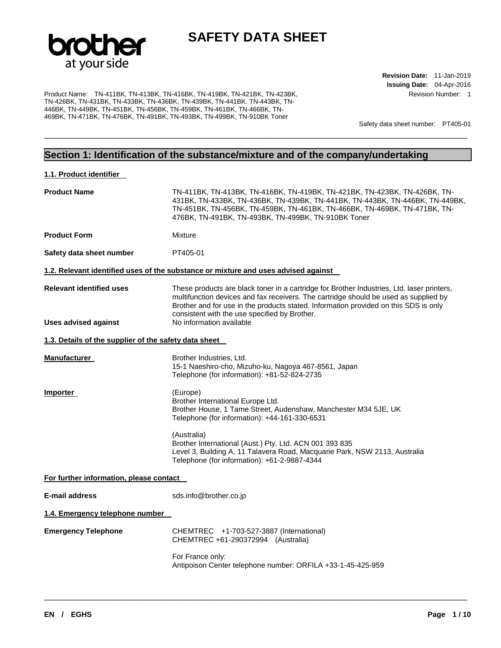

\_\_\_\_\_\_\_\_\_\_\_\_\_\_\_\_\_\_\_\_\_\_\_\_\_\_\_\_\_\_\_\_\_\_\_\_\_\_\_\_\_\_\_\_\_\_\_\_\_\_\_\_\_\_\_\_\_\_\_\_\_\_\_\_\_\_\_\_\_\_\_\_\_\_\_\_\_\_\_\_\_\_\_\_\_\_\_\_\_\_\_\_\_

Product Name: TN-411BK, TN-413BK, TN-416BK, TN-419BK, TN-421BK, TN-423BK, TN-426BK, TN-431BK, TN-433BK, TN-436BK, TN-439BK, TN-441BK, TN-443BK, TN-446BK, TN-449BK, TN-451BK, TN-456BK, TN-459BK, TN-461BK, TN-466BK, TN-469BK, TN-471BK, TN-476BK, TN-491BK, TN-493BK, TN-499BK, TN-910BK Toner

**Revision Date:** 11-Jan-2019 **Issuing Date:** 04-Apr-2016 Revision Number: 1

Safety data sheet number: PT405-01

#### **Section 1: Identification of the substance/mixture and of the company/undertaking**

| 1.1. Product identifier                                 |                                                                                                                                                                                                                                                                                                                                                         |  |  |
|---------------------------------------------------------|---------------------------------------------------------------------------------------------------------------------------------------------------------------------------------------------------------------------------------------------------------------------------------------------------------------------------------------------------------|--|--|
| <b>Product Name</b>                                     | TN-411BK, TN-413BK, TN-416BK, TN-419BK, TN-421BK, TN-423BK, TN-426BK, TN-<br>431BK, TN-433BK, TN-436BK, TN-439BK, TN-441BK, TN-443BK, TN-446BK, TN-449BK,<br>TN-451BK, TN-456BK, TN-459BK, TN-461BK, TN-466BK, TN-469BK, TN-471BK, TN-<br>476BK, TN-491BK, TN-493BK, TN-499BK, TN-910BK Toner                                                           |  |  |
| <b>Product Form</b>                                     | Mixture                                                                                                                                                                                                                                                                                                                                                 |  |  |
| Safety data sheet number                                | PT405-01                                                                                                                                                                                                                                                                                                                                                |  |  |
|                                                         | 1.2. Relevant identified uses of the substance or mixture and uses advised against                                                                                                                                                                                                                                                                      |  |  |
| <b>Relevant identified uses</b><br>Uses advised against | These products are black toner in a cartridge for Brother Industries, Ltd. laser printers,<br>multifunction devices and fax receivers. The cartridge should be used as supplied by<br>Brother and for use in the products stated. Information provided on this SDS is only<br>consistent with the use specified by Brother.<br>No information available |  |  |
|                                                         |                                                                                                                                                                                                                                                                                                                                                         |  |  |
| 1.3. Details of the supplier of the safety data sheet   |                                                                                                                                                                                                                                                                                                                                                         |  |  |
| Manufacturer                                            | Brother Industries, Ltd.<br>15-1 Naeshiro-cho, Mizuho-ku, Nagoya 467-8561, Japan<br>Telephone (for information): +81-52-824-2735                                                                                                                                                                                                                        |  |  |
| Importer                                                | (Europe)<br>Brother International Europe Ltd.<br>Brother House, 1 Tame Street, Audenshaw, Manchester M34 5JE, UK<br>Telephone (for information): +44-161-330-6531                                                                                                                                                                                       |  |  |
|                                                         | (Australia)<br>Brother International (Aust.) Pty. Ltd. ACN 001 393 835<br>Level 3, Building A, 11 Talavera Road, Macquarie Park, NSW 2113, Australia<br>Telephone (for information): +61-2-9887-4344                                                                                                                                                    |  |  |
| For further information, please contact                 |                                                                                                                                                                                                                                                                                                                                                         |  |  |
| <b>E-mail address</b>                                   | sds.info@brother.co.jp                                                                                                                                                                                                                                                                                                                                  |  |  |
| 1.4. Emergency telephone number                         |                                                                                                                                                                                                                                                                                                                                                         |  |  |
| <b>Emergency Telephone</b>                              | CHEMTREC +1-703-527-3887 (International)<br>CHEMTREC +61-290372994 (Australia)                                                                                                                                                                                                                                                                          |  |  |
|                                                         | For France only:<br>Antipoison Center telephone number: ORFILA +33-1-45-425-959                                                                                                                                                                                                                                                                         |  |  |
|                                                         |                                                                                                                                                                                                                                                                                                                                                         |  |  |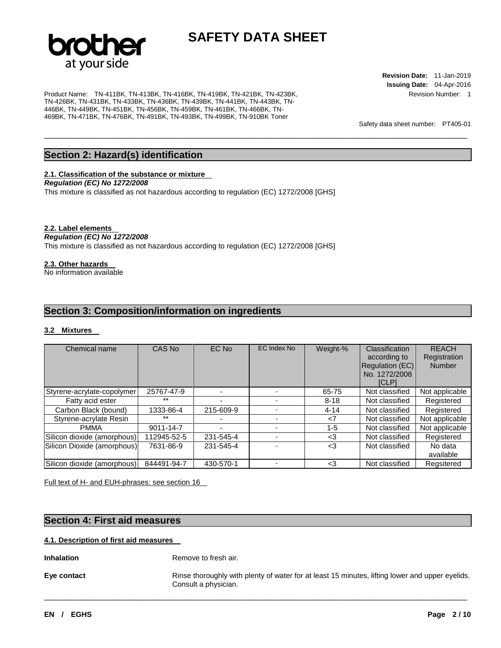

\_\_\_\_\_\_\_\_\_\_\_\_\_\_\_\_\_\_\_\_\_\_\_\_\_\_\_\_\_\_\_\_\_\_\_\_\_\_\_\_\_\_\_\_\_\_\_\_\_\_\_\_\_\_\_\_\_\_\_\_\_\_\_\_\_\_\_\_\_\_\_\_\_\_\_\_\_\_\_\_\_\_\_\_\_\_\_\_\_\_\_\_\_

Product Name: TN-411BK, TN-413BK, TN-416BK, TN-419BK, TN-421BK, TN-423BK, TN-426BK, TN-431BK, TN-433BK, TN-436BK, TN-439BK, TN-441BK, TN-443BK, TN-446BK, TN-449BK, TN-451BK, TN-456BK, TN-459BK, TN-461BK, TN-466BK, TN-469BK, TN-471BK, TN-476BK, TN-491BK, TN-493BK, TN-499BK, TN-910BK Toner

**Revision Date:** 11-Jan-2019 **Issuing Date:** 04-Apr-2016 Revision Number: 1

Safety data sheet number: PT405-01

#### **Section 2: Hazard(s) identification**

#### **2.1. Classification of the substance or mixture**

*Regulation (EC) No 1272/2008* 

This mixture is classified as not hazardous according to regulation (EC) 1272/2008 [GHS]

#### **2.2. Label elements**

#### *Regulation (EC) No 1272/2008*

This mixture is classified as not hazardous according to regulation (EC) 1272/2008 [GHS]

#### **2.3. Other hazards**

No information available

#### **Section 3: Composition/information on ingredients**

#### **3.2 Mixtures**

| Chemical name               | CAS No      | <b>EC No</b> | EC Index No | Weight-%      | <b>Classification</b><br>according to<br>Regulation (EC)<br>No. 1272/2008<br><b>ICLP1</b> | <b>REACH</b><br>Registration<br><b>Number</b> |
|-----------------------------|-------------|--------------|-------------|---------------|-------------------------------------------------------------------------------------------|-----------------------------------------------|
| Styrene-acrylate-copolymer  | 25767-47-9  |              |             | 65-75         | Not classified                                                                            | Not applicable                                |
| Fatty acid ester            | $***$       |              |             | $8 - 18$      | Not classified                                                                            | Registered                                    |
| Carbon Black (bound)        | 1333-86-4   | 215-609-9    |             | $4 - 14$      | Not classified                                                                            | Registered                                    |
| Styrene-acrylate Resin      | $***$       |              |             | $\mathsf{<}7$ | Not classified                                                                            | Not applicable                                |
| <b>PMMA</b>                 | 9011-14-7   | -            |             | $1 - 5$       | Not classified                                                                            | Not applicable                                |
| Silicon dioxide (amorphous) | 112945-52-5 | 231-545-4    |             | $<$ 3         | Not classified                                                                            | Registered                                    |
| Silicon Dioxide (amorphous) | 7631-86-9   | 231-545-4    |             | <3            | Not classified                                                                            | No data<br>available                          |
| Silicon dioxide (amorphous) | 844491-94-7 | 430-570-1    |             | $3$           | Not classified                                                                            | Regsitered                                    |

Full text of H- and EUH-phrases: see section 16

#### **Section 4: First aid measures**

#### **4.1. Description of first aid measures**

**Inhalation Remove to fresh air.** 

**Eye contact Rinse thoroughly with plenty of water for at least 15 minutes, lifting lower and upper eyelids.** Consult a physician.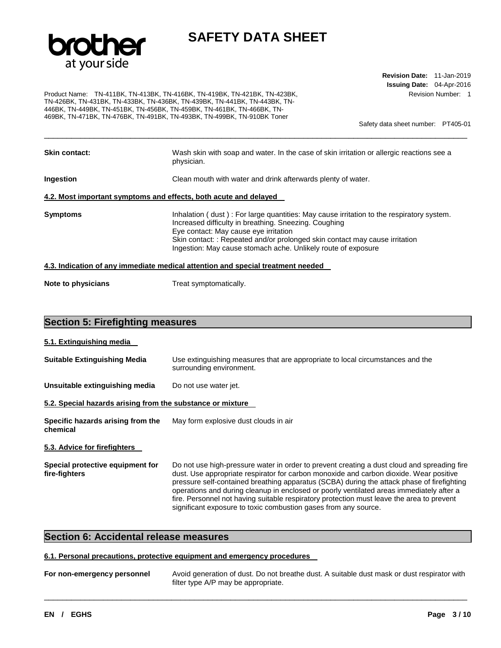

Product Name: TN-411BK, TN-413BK, TN-416BK, TN-419BK, TN-421BK, TN-423BK, TN-426BK, TN-431BK, TN-433BK, TN-436BK, TN-439BK, TN-441BK, TN-443BK, TN-446BK, TN-449BK, TN-451BK, TN-456BK, TN-459BK, TN-461BK, TN-466BK, TN-469BK, TN-471BK, TN-476BK, TN-491BK, TN-493BK, TN-499BK, TN-910BK Toner

**Revision Date:** 11-Jan-2019 **Issuing Date:** 04-Apr-2016 Revision Number: 1

Safety data sheet number: PT405-01

| <b>Skin contact:</b> | Wash skin with soap and water. In the case of skin irritation or allergic reactions see a<br>physician.                                                                                                                                                                                                                                    |
|----------------------|--------------------------------------------------------------------------------------------------------------------------------------------------------------------------------------------------------------------------------------------------------------------------------------------------------------------------------------------|
| Ingestion            | Clean mouth with water and drink afterwards plenty of water.                                                                                                                                                                                                                                                                               |
|                      | 4.2. Most important symptoms and effects, both acute and delayed                                                                                                                                                                                                                                                                           |
| <b>Symptoms</b>      | Inhalation (dust): For large quantities: May cause irritation to the respiratory system.<br>Increased difficulty in breathing. Sneezing. Coughing<br>Eye contact: May cause eye irritation<br>Skin contact: : Repeated and/or prolonged skin contact may cause irritation<br>Ingestion: May cause stomach ache. Unlikely route of exposure |
|                      | 4.3. Indication of any immediate medical attention and special treatment needed                                                                                                                                                                                                                                                            |
| Note to physicians   | Treat symptomatically.                                                                                                                                                                                                                                                                                                                     |

#### **Section 5: Firefighting measures**

#### **5.1. Extinguishing media**

| <b>Suitable Extinguishing Media</b>                        | Use extinguishing measures that are appropriate to local circumstances and the<br>surrounding environment. |  |  |  |
|------------------------------------------------------------|------------------------------------------------------------------------------------------------------------|--|--|--|
| Unsuitable extinguishing media<br>Do not use water jet.    |                                                                                                            |  |  |  |
| 5.2. Special hazards arising from the substance or mixture |                                                                                                            |  |  |  |
| Specific hazards arising from the<br>chemical              | May form explosive dust clouds in air                                                                      |  |  |  |

#### **5.3. Advice for firefighters**

**Special protective equipment for fire-fighters**  Do not use high-pressure water in order to prevent creating a dust cloud and spreading fire dust. Use appropriate respirator for carbon monoxide and carbon dioxide. Wear positive pressure self-contained breathing apparatus (SCBA) during the attack phase of firefighting operations and during cleanup in enclosed or poorly ventilated areas immediately after a fire. Personnel not having suitable respiratory protection must leave the area to prevent significant exposure to toxic combustion gases from any source.

#### **Section 6: Accidental release measures**

#### **6.1. Personal precautions, protective equipment and emergency procedures**

| For non-emergency personnel | Avoid generation of dust. Do not breathe dust. A suitable dust mask or dust respirator with |
|-----------------------------|---------------------------------------------------------------------------------------------|
|                             | filter type A/P may be appropriate.                                                         |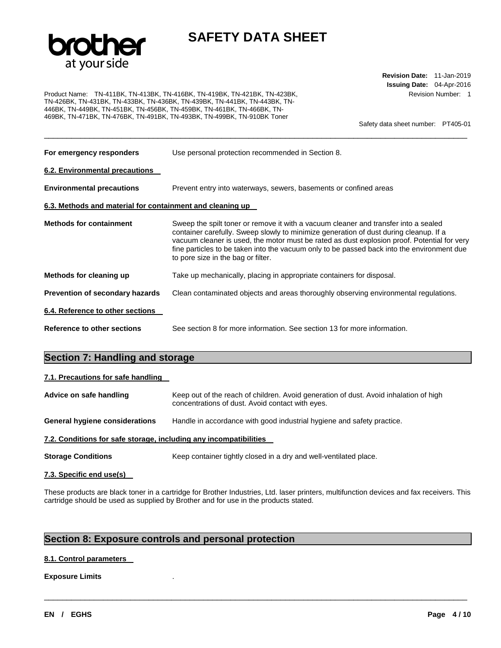

Product Name: TN-411BK, TN-413BK, TN-416BK, TN-419BK, TN-421BK, TN-423BK, TN-426BK, TN-431BK, TN-433BK, TN-436BK, TN-439BK, TN-441BK, TN-443BK, TN-446BK, TN-449BK, TN-451BK, TN-456BK, TN-459BK, TN-461BK, TN-466BK, TN-469BK, TN-471BK, TN-476BK, TN-491BK, TN-493BK, TN-499BK, TN-910BK Toner

**Revision Date:** 11-Jan-2019 **Issuing Date:** 04-Apr-2016 Revision Number: 1

Safety data sheet number: PT405-01

| For emergency responders                                  | Use personal protection recommended in Section 8.                                                                                                                                                                                                                                                                                                                                                               |  |  |
|-----------------------------------------------------------|-----------------------------------------------------------------------------------------------------------------------------------------------------------------------------------------------------------------------------------------------------------------------------------------------------------------------------------------------------------------------------------------------------------------|--|--|
| <b>6.2. Environmental precautions</b>                     |                                                                                                                                                                                                                                                                                                                                                                                                                 |  |  |
| <b>Environmental precautions</b>                          | Prevent entry into waterways, sewers, basements or confined areas                                                                                                                                                                                                                                                                                                                                               |  |  |
| 6.3. Methods and material for containment and cleaning up |                                                                                                                                                                                                                                                                                                                                                                                                                 |  |  |
| <b>Methods for containment</b>                            | Sweep the spilt toner or remove it with a vacuum cleaner and transfer into a sealed<br>container carefully. Sweep slowly to minimize generation of dust during cleanup. If a<br>vacuum cleaner is used, the motor must be rated as dust explosion proof. Potential for very<br>fine particles to be taken into the vacuum only to be passed back into the environment due<br>to pore size in the bag or filter. |  |  |
| Methods for cleaning up                                   | Take up mechanically, placing in appropriate containers for disposal.                                                                                                                                                                                                                                                                                                                                           |  |  |
| Prevention of secondary hazards                           | Clean contaminated objects and areas thoroughly observing environmental regulations.                                                                                                                                                                                                                                                                                                                            |  |  |
| 6.4. Reference to other sections                          |                                                                                                                                                                                                                                                                                                                                                                                                                 |  |  |
| Reference to other sections                               | See section 8 for more information. See section 13 for more information.                                                                                                                                                                                                                                                                                                                                        |  |  |

#### **Section 7: Handling and storage**

#### **7.1. Precautions for safe handling**

| Advice on safe handling | Keep out of the reach of children. Avoid generation of dust. Avoid inhalation of high<br>concentrations of dust. Avoid contact with eyes. |
|-------------------------|-------------------------------------------------------------------------------------------------------------------------------------------|
|                         |                                                                                                                                           |

**General hygiene considerations** Handle in accordance with good industrial hygiene and safety practice.

#### **7.2. Conditions for safe storage, including any incompatibilities**

**Storage Conditions Keep container tightly closed in a dry and well-ventilated place.** 

#### **7.3. Specific end use(s)**

These products are black toner in a cartridge for Brother Industries, Ltd. laser printers, multifunction devices and fax receivers. This cartridge should be used as supplied by Brother and for use in the products stated.

\_\_\_\_\_\_\_\_\_\_\_\_\_\_\_\_\_\_\_\_\_\_\_\_\_\_\_\_\_\_\_\_\_\_\_\_\_\_\_\_\_\_\_\_\_\_\_\_\_\_\_\_\_\_\_\_\_\_\_\_\_\_\_\_\_\_\_\_\_\_\_\_\_\_\_\_\_\_\_\_\_\_\_\_\_\_\_\_\_\_\_\_\_

#### **Section 8: Exposure controls and personal protection**

#### **8.1. Control parameters**

**Exposure Limits** .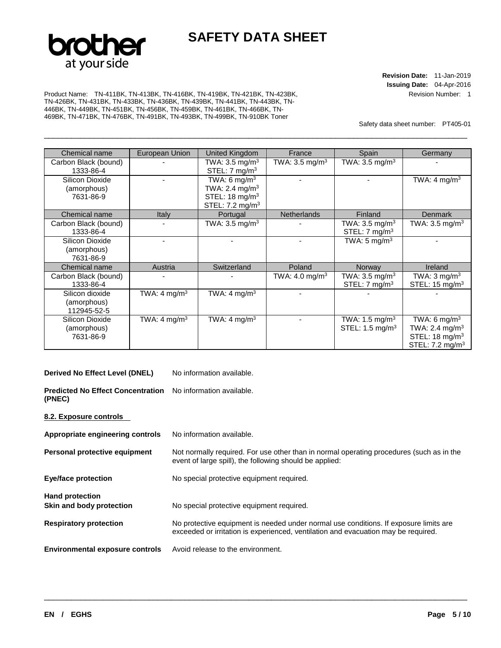

\_\_\_\_\_\_\_\_\_\_\_\_\_\_\_\_\_\_\_\_\_\_\_\_\_\_\_\_\_\_\_\_\_\_\_\_\_\_\_\_\_\_\_\_\_\_\_\_\_\_\_\_\_\_\_\_\_\_\_\_\_\_\_\_\_\_\_\_\_\_\_\_\_\_\_\_\_\_\_\_\_\_\_\_\_\_\_\_\_\_\_\_\_

**Revision Date:** 11-Jan-2019 **Issuing Date:** 04-Apr-2016 Revision Number: 1

Product Name: TN-411BK, TN-413BK, TN-416BK, TN-419BK, TN-421BK, TN-423BK, TN-426BK, TN-431BK, TN-433BK, TN-436BK, TN-439BK, TN-441BK, TN-443BK, TN-446BK, TN-449BK, TN-451BK, TN-456BK, TN-459BK, TN-461BK, TN-466BK, TN-469BK, TN-471BK, TN-476BK, TN-491BK, TN-493BK, TN-499BK, TN-910BK Toner

Safety data sheet number: PT405-01

| Chemical name        | European Union           | United Kingdom             | France                     | Spain                       | Germany                    |
|----------------------|--------------------------|----------------------------|----------------------------|-----------------------------|----------------------------|
| Carbon Black (bound) |                          | TWA: $3.5 \text{ mg/m}^3$  | TWA: $3.5 \text{ mg/m}^3$  | TWA: $3.5 \text{ mg/m}^3$   |                            |
| 1333-86-4            |                          | STEL: $7 \text{ mg/m}^3$   |                            |                             |                            |
| Silicon Dioxide      |                          | TWA: 6 mg/m <sup>3</sup>   |                            |                             | TWA: 4 mg/m <sup>3</sup>   |
| (amorphous)          |                          | TWA: 2.4 $mg/m3$           |                            |                             |                            |
| 7631-86-9            |                          | STEL: 18 mg/m <sup>3</sup> |                            |                             |                            |
|                      |                          | STEL: $7.2 \text{ mg/m}^3$ |                            |                             |                            |
| Chemical name        | Italy                    | Portugal                   | <b>Netherlands</b>         | Finland                     | <b>Denmark</b>             |
| Carbon Black (bound) |                          | TWA: $3.5 \text{ mg/m}^3$  |                            | TWA: $3.5 \text{ mg/m}^3$   | TWA: $3.5 \text{ mg/m}^3$  |
| 1333-86-4            |                          |                            |                            | STEL: $7 \text{ mg/m}^3$    |                            |
| Silicon Dioxide      |                          |                            |                            | TWA: 5 mg/m <sup>3</sup>    |                            |
| (amorphous)          |                          |                            |                            |                             |                            |
| 7631-86-9            |                          |                            |                            |                             |                            |
| Chemical name        | Austria                  | Switzerland                | Poland                     | Norway                      | Ireland                    |
| Carbon Black (bound) |                          |                            | TWA: 4.0 mg/m <sup>3</sup> | TWA: $3.5 \text{ mg/m}^3$   | TWA: $3 \text{ mg/m}^3$    |
| 1333-86-4            |                          |                            |                            | STEL: $7 \text{ mg/m}^3$    | STEL: $15 \text{ mg/m}^3$  |
| Silicon dioxide      | TWA: 4 mg/m <sup>3</sup> | TWA: 4 mg/m <sup>3</sup>   |                            |                             |                            |
| (amorphous)          |                          |                            |                            |                             |                            |
| 112945-52-5          |                          |                            |                            |                             |                            |
| Silicon Dioxide      | TWA: 4 mg/m <sup>3</sup> | TWA: 4 mg/m <sup>3</sup>   |                            | TWA: 1.5 mg/m <sup>3</sup>  | TWA: 6 mg/m <sup>3</sup>   |
| (amorphous)          |                          |                            |                            | STEL: 1.5 mg/m <sup>3</sup> | TWA: 2.4 mg/m <sup>3</sup> |
| 7631-86-9            |                          |                            |                            |                             | STEL: $18 \text{ mg/m}^3$  |
|                      |                          |                            |                            |                             | STEL: $7.2 \text{ mg/m}^3$ |

#### **Derived No Effect Level (DNEL)** No information available.

**Predicted No Effect Concentration**  No information available. **(PNEC)** 

#### **8.2. Exposure controls**

| Appropriate engineering controls                   | No information available.                                                                                                                                                   |
|----------------------------------------------------|-----------------------------------------------------------------------------------------------------------------------------------------------------------------------------|
| Personal protective equipment                      | Not normally required. For use other than in normal operating procedures (such as in the<br>event of large spill), the following should be applied:                         |
| <b>Eye/face protection</b>                         | No special protective equipment required.                                                                                                                                   |
| <b>Hand protection</b><br>Skin and body protection | No special protective equipment required.                                                                                                                                   |
| <b>Respiratory protection</b>                      | No protective equipment is needed under normal use conditions. If exposure limits are<br>exceeded or irritation is experienced, ventilation and evacuation may be required. |
| <b>Environmental exposure controls</b>             | Avoid release to the environment.                                                                                                                                           |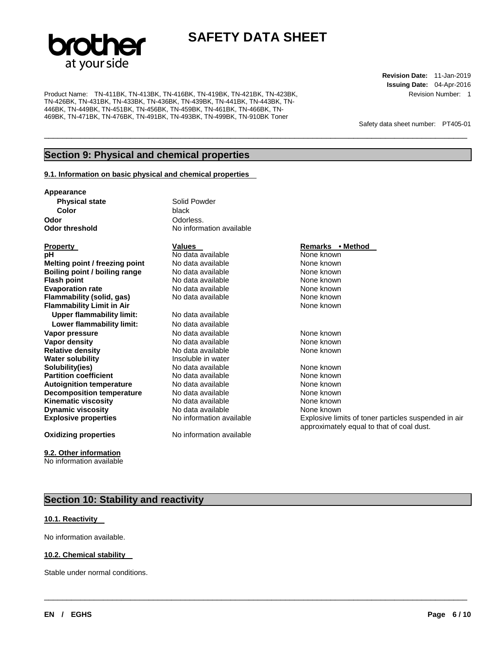

\_\_\_\_\_\_\_\_\_\_\_\_\_\_\_\_\_\_\_\_\_\_\_\_\_\_\_\_\_\_\_\_\_\_\_\_\_\_\_\_\_\_\_\_\_\_\_\_\_\_\_\_\_\_\_\_\_\_\_\_\_\_\_\_\_\_\_\_\_\_\_\_\_\_\_\_\_\_\_\_\_\_\_\_\_\_\_\_\_\_\_\_\_

\_\_\_\_\_\_\_\_\_\_\_\_\_\_\_\_\_\_\_\_\_\_\_\_\_\_\_\_\_\_\_\_\_\_\_\_\_\_\_\_\_\_\_\_\_\_\_\_\_\_\_\_\_\_\_\_\_\_\_\_\_\_\_\_\_\_\_\_\_\_\_\_\_\_\_\_\_\_\_\_\_\_\_\_\_\_\_\_\_\_\_\_\_

Product Name: TN-411BK, TN-413BK, TN-416BK, TN-419BK, TN-421BK, TN-423BK, TN-426BK, TN-431BK, TN-433BK, TN-436BK, TN-439BK, TN-441BK, TN-443BK, TN-446BK, TN-449BK, TN-451BK, TN-456BK, TN-459BK, TN-461BK, TN-466BK, TN-469BK, TN-471BK, TN-476BK, TN-491BK, TN-493BK, TN-499BK, TN-910BK Toner

**Revision Date:** 11-Jan-2019 **Issuing Date:** 04-Apr-2016 Revision Number: 1

Safety data sheet number: PT405-01

#### **Section 9: Physical and chemical properties**

#### **9.1. Information on basic physical and chemical properties**

**Appearance** 

**Physical state Solid Powder Color** black **Odor**<br> **Odor threshold**<br> **Odor threshold** 

**Property Construction Construction Values Access Property Remarks • Method** 

**pH Notallable Notallable Notallable None known Melting point / freezing point** No data available None known **Boiling point / boiling range** No data available **None known**<br>
No data available **None known**<br>
No data available **None known Evaporation rate No data available None known**<br> **Elammability (solid. gas)** No data available **None known**<br>
None known **Flammability (solid, gas)** No data available None known **Flammability Limit in Air** <br>**Upper flammability limit:** No data available **Upper flammability limit: Lower flammability limit:** No data available **Vapor pressure 1980 Communist Communist Communist Communist Communist Communist Communist Communist Communist Communist Communist Communist Communist Communist Communist Communist Communist Communist Communist Communist C Vapor density** No data available None known **Relative density<br>Water solubility Water solubility and Soluble in water<br>
<b>Insolubility ies Solubility is the Solubility (ies)**<br> **In** No data available **Partition coefficient No data available and the September 10 million example the None known**<br> **Autoignition temperature No data available None known Autoignition temperature 1988** No data available 1988 None known<br> **Decomposition temperature** 1988 No data available 1988 None known **Decomposition temperature** No data available None known **Kinematic viscosity** No data available None known **Dynamic viscosity**<br> **Explosive properties**<br>
No information available Mone Explosive lim

#### **Oxidizing properties** No information available

**9.2. Other information**

No information available

# **No information available**

# **No data available** No data available **None known**

**Explosive properties No information available Explosive limits of toner particles suspended in air Explosive limits** approximately equal to that of coal dust.

#### **Section 10: Stability and reactivity**

#### **10.1. Reactivity**

No information available.

#### **10.2. Chemical stability**

Stable under normal conditions.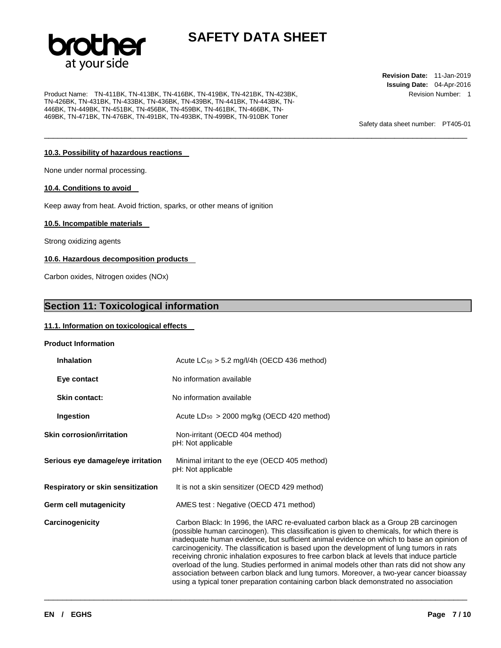

\_\_\_\_\_\_\_\_\_\_\_\_\_\_\_\_\_\_\_\_\_\_\_\_\_\_\_\_\_\_\_\_\_\_\_\_\_\_\_\_\_\_\_\_\_\_\_\_\_\_\_\_\_\_\_\_\_\_\_\_\_\_\_\_\_\_\_\_\_\_\_\_\_\_\_\_\_\_\_\_\_\_\_\_\_\_\_\_\_\_\_\_\_

Product Name: TN-411BK, TN-413BK, TN-416BK, TN-419BK, TN-421BK, TN-423BK, TN-426BK, TN-431BK, TN-433BK, TN-436BK, TN-439BK, TN-441BK, TN-443BK, TN-446BK, TN-449BK, TN-451BK, TN-456BK, TN-459BK, TN-461BK, TN-466BK, TN-469BK, TN-471BK, TN-476BK, TN-491BK, TN-493BK, TN-499BK, TN-910BK Toner

**Revision Date:** 11-Jan-2019 **Issuing Date:** 04-Apr-2016 Revision Number: 1

Safety data sheet number: PT405-01

#### **10.3. Possibility of hazardous reactions**

None under normal processing.

#### **10.4. Conditions to avoid**

Keep away from heat. Avoid friction, sparks, or other means of ignition

#### **10.5. Incompatible materials**

Strong oxidizing agents

#### **10.6. Hazardous decomposition products**

Carbon oxides, Nitrogen oxides (NOx)

#### **Section 11: Toxicological information**

#### **11.1. Information on toxicological effects**

#### **Product Information**

| <b>Inhalation</b>                 | Acute $LC_{50} > 5.2$ mg/l/4h (OECD 436 method)                                                                                                                                                                                                                                                                                                                                                                                                                                                                                                                                                                                                                                                                                                        |  |
|-----------------------------------|--------------------------------------------------------------------------------------------------------------------------------------------------------------------------------------------------------------------------------------------------------------------------------------------------------------------------------------------------------------------------------------------------------------------------------------------------------------------------------------------------------------------------------------------------------------------------------------------------------------------------------------------------------------------------------------------------------------------------------------------------------|--|
| Eye contact                       | No information available                                                                                                                                                                                                                                                                                                                                                                                                                                                                                                                                                                                                                                                                                                                               |  |
| <b>Skin contact:</b>              | No information available                                                                                                                                                                                                                                                                                                                                                                                                                                                                                                                                                                                                                                                                                                                               |  |
| Ingestion                         | Acute $LD_{50} > 2000$ mg/kg (OECD 420 method)                                                                                                                                                                                                                                                                                                                                                                                                                                                                                                                                                                                                                                                                                                         |  |
| <b>Skin corrosion/irritation</b>  | Non-irritant (OECD 404 method)<br>pH: Not applicable                                                                                                                                                                                                                                                                                                                                                                                                                                                                                                                                                                                                                                                                                                   |  |
| Serious eye damage/eye irritation | Minimal irritant to the eye (OECD 405 method)<br>pH: Not applicable                                                                                                                                                                                                                                                                                                                                                                                                                                                                                                                                                                                                                                                                                    |  |
| Respiratory or skin sensitization | It is not a skin sensitizer (OECD 429 method)                                                                                                                                                                                                                                                                                                                                                                                                                                                                                                                                                                                                                                                                                                          |  |
| Germ cell mutagenicity            | AMES test: Negative (OECD 471 method)                                                                                                                                                                                                                                                                                                                                                                                                                                                                                                                                                                                                                                                                                                                  |  |
| Carcinogenicity                   | Carbon Black: In 1996, the IARC re-evaluated carbon black as a Group 2B carcinogen<br>(possible human carcinogen). This classification is given to chemicals, for which there is<br>inadequate human evidence, but sufficient animal evidence on which to base an opinion of<br>carcinogenicity. The classification is based upon the development of lung tumors in rats<br>receiving chronic inhalation exposures to free carbon black at levels that induce particle<br>overload of the lung. Studies performed in animal models other than rats did not show any<br>association between carbon black and lung tumors. Moreover, a two-year cancer bioassay<br>using a typical toner preparation containing carbon black demonstrated no association |  |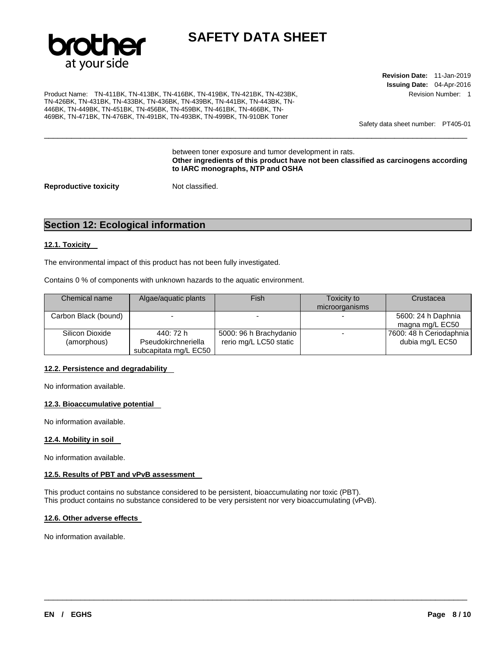

\_\_\_\_\_\_\_\_\_\_\_\_\_\_\_\_\_\_\_\_\_\_\_\_\_\_\_\_\_\_\_\_\_\_\_\_\_\_\_\_\_\_\_\_\_\_\_\_\_\_\_\_\_\_\_\_\_\_\_\_\_\_\_\_\_\_\_\_\_\_\_\_\_\_\_\_\_\_\_\_\_\_\_\_\_\_\_\_\_\_\_\_\_

Product Name: TN-411BK, TN-413BK, TN-416BK, TN-419BK, TN-421BK, TN-423BK, TN-426BK, TN-431BK, TN-433BK, TN-436BK, TN-439BK, TN-441BK, TN-443BK, TN-446BK, TN-449BK, TN-451BK, TN-456BK, TN-459BK, TN-461BK, TN-466BK, TN-469BK, TN-471BK, TN-476BK, TN-491BK, TN-493BK, TN-499BK, TN-910BK Toner

**Revision Date:** 11-Jan-2019 **Issuing Date:** 04-Apr-2016 Revision Number: 1

Safety data sheet number: PT405-01

between toner exposure and tumor development in rats. **Other ingredients of this product have not been classified as carcinogens according to IARC monographs, NTP and OSHA** 

**Reproductive toxicity Not classified.** 

#### **Section 12: Ecological information**

#### **12.1. Toxicity**

The environmental impact of this product has not been fully investigated.

Contains 0 % of components with unknown hazards to the aquatic environment.

| Chemical name                  | Algae/aguatic plants                                      | Fish                                             | Toxicity to<br>microorganisms | Crustacea                                  |
|--------------------------------|-----------------------------------------------------------|--------------------------------------------------|-------------------------------|--------------------------------------------|
| Carbon Black (bound)           |                                                           |                                                  |                               | 5600: 24 h Daphnia<br>magna mg/L EC50      |
| Silicon Dioxide<br>(amorphous) | 440: 72 h<br>Pseudokirchneriella<br>subcapitata mg/L EC50 | 5000: 96 h Brachydanio<br>rerio mg/L LC50 static |                               | 7600: 48 h Ceriodaphnia<br>dubia mg/L EC50 |

\_\_\_\_\_\_\_\_\_\_\_\_\_\_\_\_\_\_\_\_\_\_\_\_\_\_\_\_\_\_\_\_\_\_\_\_\_\_\_\_\_\_\_\_\_\_\_\_\_\_\_\_\_\_\_\_\_\_\_\_\_\_\_\_\_\_\_\_\_\_\_\_\_\_\_\_\_\_\_\_\_\_\_\_\_\_\_\_\_\_\_\_\_

#### **12.2. Persistence and degradability**

No information available.

#### **12.3. Bioaccumulative potential**

No information available.

#### **12.4. Mobility in soil**

No information available.

#### **12.5. Results of PBT and vPvB assessment**

This product contains no substance considered to be persistent, bioaccumulating nor toxic (PBT). This product contains no substance considered to be very persistent nor very bioaccumulating (vPvB).

#### **12.6. Other adverse effects**

No information available.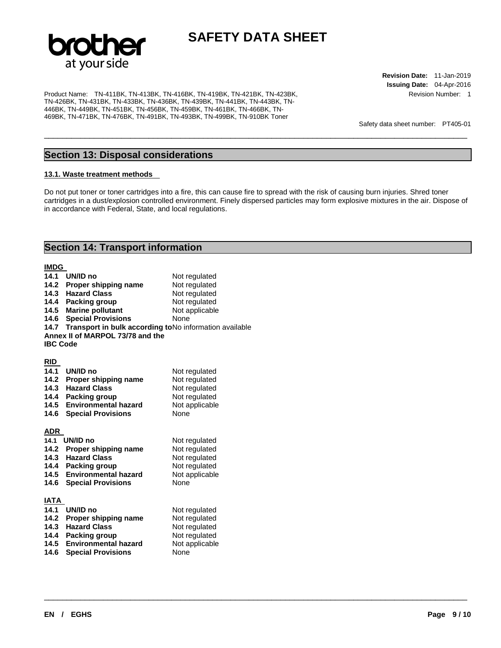

Product Name: TN-411BK, TN-413BK, TN-416BK, TN-419BK, TN-421BK, TN-423BK, TN-426BK, TN-431BK, TN-433BK, TN-436BK, TN-439BK, TN-441BK, TN-443BK, TN-446BK, TN-449BK, TN-451BK, TN-456BK, TN-459BK, TN-461BK, TN-466BK, TN-469BK, TN-471BK, TN-476BK, TN-491BK, TN-493BK, TN-499BK, TN-910BK Toner

**Revision Date:** 11-Jan-2019 **Issuing Date:** 04-Apr-2016 Revision Number: 1

Safety data sheet number: PT405-01

#### **Section 13: Disposal considerations**

#### **13.1. Waste treatment methods**

Do not put toner or toner cartridges into a fire, this can cause fire to spread with the risk of causing burn injuries. Shred toner cartridges in a dust/explosion controlled environment. Finely dispersed particles may form explosive mixtures in the air. Dispose of in accordance with Federal, State, and local regulations.

\_\_\_\_\_\_\_\_\_\_\_\_\_\_\_\_\_\_\_\_\_\_\_\_\_\_\_\_\_\_\_\_\_\_\_\_\_\_\_\_\_\_\_\_\_\_\_\_\_\_\_\_\_\_\_\_\_\_\_\_\_\_\_\_\_\_\_\_\_\_\_\_\_\_\_\_\_\_\_\_\_\_\_\_\_\_\_\_\_\_\_\_\_

\_\_\_\_\_\_\_\_\_\_\_\_\_\_\_\_\_\_\_\_\_\_\_\_\_\_\_\_\_\_\_\_\_\_\_\_\_\_\_\_\_\_\_\_\_\_\_\_\_\_\_\_\_\_\_\_\_\_\_\_\_\_\_\_\_\_\_\_\_\_\_\_\_\_\_\_\_\_\_\_\_\_\_\_\_\_\_\_\_\_\_\_\_

#### **Section 14: Transport information**

#### **IMDG**

| 14.1            | UN/ID no                                               | Not regulated  |
|-----------------|--------------------------------------------------------|----------------|
|                 | 14.2 Proper shipping name                              | Not regulated  |
| 14.3            | <b>Hazard Class</b>                                    | Not regulated  |
| 14.4            | <b>Packing group</b>                                   | Not regulated  |
| 14.5            | <b>Marine pollutant</b>                                | Not applicable |
| 14.6            | <b>Special Provisions</b>                              | None           |
| 14.7            | Transport in bulk according toNo information available |                |
|                 | Annex II of MARPOL 73/78 and the                       |                |
| <b>IBC Code</b> |                                                        |                |
|                 |                                                        |                |
| <b>RID</b>      |                                                        |                |
| 14.1            | UN/ID no                                               | Not regulated  |
| 14.2            | Proper shipping name                                   | Not regulated  |
| 14.3            | <b>Hazard Class</b>                                    | Not regulated  |
| 14.4            | Packing group                                          | Not regulated  |
| 14.5            | <b>Environmental hazard</b>                            | Not applicable |
| 14.6            | <b>Special Provisions</b>                              | None           |
|                 |                                                        |                |
| ADR             |                                                        |                |
| 14.1            | UN/ID no                                               | Not regulated  |
| 14.2            | Proper shipping name                                   | Not regulated  |
| 14.3            | <b>Hazard Class</b>                                    | Not regulated  |
| 14.4            | Packing group                                          | Not regulated  |
| 14.5            | <b>Environmental hazard</b>                            | Not applicable |
| 14.6            | <b>Special Provisions</b>                              | <b>None</b>    |
|                 |                                                        |                |
| IATA            |                                                        |                |
| 14.1            | UN/ID no                                               | Not regulated  |
| 14.2            | Proper shipping name                                   | Not regulated  |
| 14.3            | <b>Hazard Class</b>                                    | Not regulated  |
| 14.4            | <b>Packing group</b>                                   | Not regulated  |
| 14.5            | <b>Environmental hazard</b>                            | Not applicable |
| 14.6            | <b>Special Provisions</b>                              | None           |